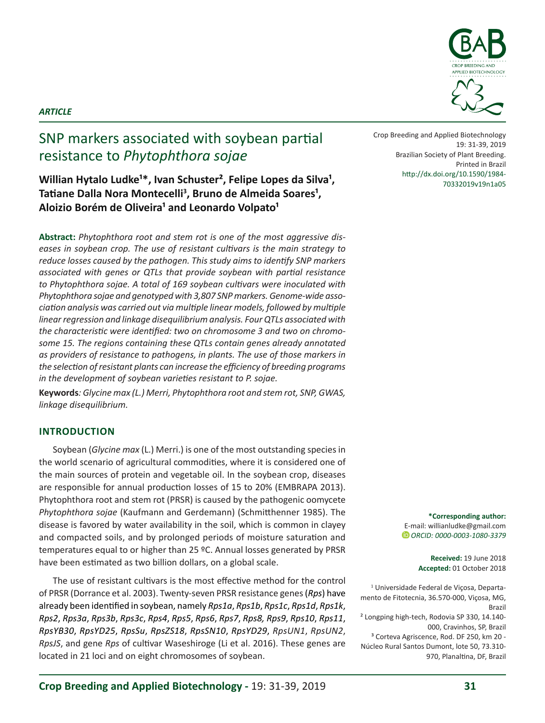

# *ARTICLE*

# SNP markers associated with soybean partial resistance to *Phytophthora sojae*

Willian Hytalo Ludke<sup>1\*</sup>, Ivan Schuster<sup>2</sup>, Felipe Lopes da Silva<sup>1</sup>, **Tatiane Dalla Nora Montecelli<sup>3</sup>, Bruno de Almeida Soares<sup>1</sup>,** Aloizio Borém de Oliveira<sup>1</sup> and Leonardo Volpato<sup>1</sup>

**Abstract:** *Phytophthora root and stem rot is one of the most aggressive diseases in soybean crop. The use of resistant cultivars is the main strategy to reduce losses caused by the pathogen. This study aims to identify SNP markers associated with genes or QTLs that provide soybean with partial resistance to Phytophthora sojae. A total of 169 soybean cultivars were inoculated with Phytophthora sojae and genotyped with 3,807 SNP markers. Genome-wide association analysis was carried out via multiple linear models, followed by multiple linear regression and linkage disequilibrium analysis. Four QTLs associated with the characteristic were identified: two on chromosome 3 and two on chromosome 15. The regions containing these QTLs contain genes already annotated as providers of resistance to pathogens, in plants. The use of those markers in the selection of resistant plants can increase the efficiency of breeding programs in the development of soybean varieties resistant to P. sojae.*

**Keywords***: Glycine max (L.) Merri, Phytophthora root and stem rot, SNP, GWAS, linkage disequilibrium.*

## **INTRODUCTION**

Soybean (*Glycine max* (L.) Merri.) is one of the most outstanding species in the world scenario of agricultural commodities, where it is considered one of the main sources of protein and vegetable oil. In the soybean crop, diseases are responsible for annual production losses of 15 to 20% (EMBRAPA 2013). Phytophthora root and stem rot (PRSR) is caused by the pathogenic oomycete *Phytophthora sojae* (Kaufmann and Gerdemann) (Schmitthenner 1985). The disease is favored by water availability in the soil, which is common in clayey and compacted soils, and by prolonged periods of moisture saturation and temperatures equal to or higher than 25 ºC. Annual losses generated by PRSR have been estimated as two billion dollars, on a global scale.

The use of resistant cultivars is the most effective method for the control of PRSR (Dorrance et al. 2003). Twenty-seven PRSR resistance genes (*Rps*) have already been identified in soybean, namely *Rps1a*, *Rps1b*, *Rps1c*, *Rps1d*, *Rps1k*, *Rps2*, *Rps3a*, *Rps3b*, *Rps3c*, *Rps4*, *Rps5*, *Rps6*, *Rps7*, *Rps8, Rps9*, *Rps10*, *Rps11*, *RpsYB30*, *RpsYD25*, *RpsSu*, *RpsZS18*, *RpsSN10*, *RpsYD29*, *RpsUN1*, *RpsUN2*, *RpsJS*, and gene *Rps* of cultivar Waseshiroge (Li et al. 2016). These genes are located in 21 loci and on eight chromosomes of soybean.

Crop Breeding and Applied Biotechnology 19: 31-39, 2019 Brazilian Society of Plant Breeding. Printed in Brazil http://dx.doi.org/10.1590/1984- 70332019v19n1a05

**\*Corresponding author:**

E-mail: willianludke@gmail.com *ORCID: 0000-0003-1080-3379*

> **Received:** 19 June 2018 **Accepted:** 01 October 2018

1 Universidade Federal de Viçosa, Departamento de Fitotecnia, 36.570-000, Viçosa, MG, Brazil

² Longping high-tech, Rodovia SP 330, 14.140- 000, Cravinhos, SP, Brazil

³ Corteva Agriscence, Rod. DF 250, km 20 - Núcleo Rural Santos Dumont, lote 50, 73.310- 970, Planaltina, DF, Brazil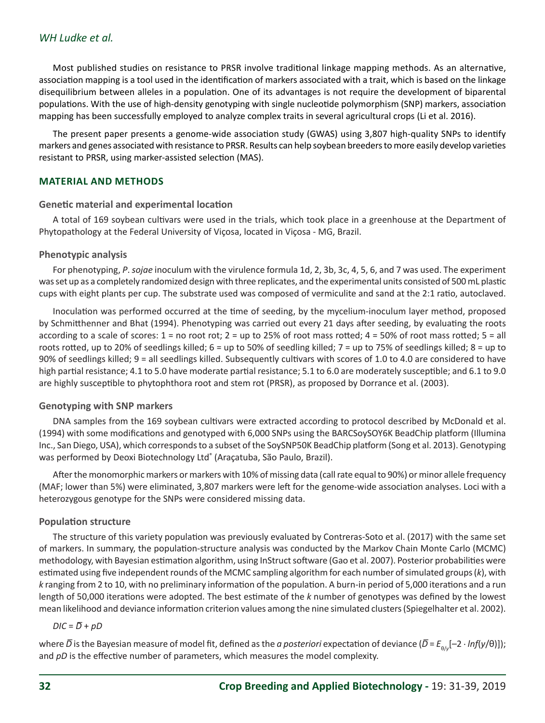Most published studies on resistance to PRSR involve traditional linkage mapping methods. As an alternative, association mapping is a tool used in the identification of markers associated with a trait, which is based on the linkage disequilibrium between alleles in a population. One of its advantages is not require the development of biparental populations. With the use of high-density genotyping with single nucleotide polymorphism (SNP) markers, association mapping has been successfully employed to analyze complex traits in several agricultural crops (Li et al. 2016).

The present paper presents a genome-wide association study (GWAS) using 3,807 high-quality SNPs to identify markers and genes associated with resistance to PRSR. Results can help soybean breeders to more easily develop varieties resistant to PRSR, using marker-assisted selection (MAS).

# **MATERIAL AND METHODS**

## **Genetic material and experimental location**

A total of 169 soybean cultivars were used in the trials, which took place in a greenhouse at the Department of Phytopathology at the Federal University of Viçosa, located in Viçosa - MG, Brazil.

## **Phenotypic analysis**

For phenotyping, *P*. *sojae* inoculum with the virulence formula 1d, 2, 3b, 3c, 4, 5, 6, and 7 was used. The experiment was set up as a completely randomized design with three replicates, and the experimental units consisted of 500 mL plastic cups with eight plants per cup. The substrate used was composed of vermiculite and sand at the 2:1 ratio, autoclaved.

Inoculation was performed occurred at the time of seeding, by the mycelium-inoculum layer method, proposed by Schmitthenner and Bhat (1994). Phenotyping was carried out every 21 days after seeding, by evaluating the roots according to a scale of scores: 1 = no root rot; 2 = up to 25% of root mass rotted; 4 = 50% of root mass rotted; 5 = all roots rotted, up to 20% of seedlings killed; 6 = up to 50% of seedling killed; 7 = up to 75% of seedlings killed; 8 = up to 90% of seedlings killed; 9 = all seedlings killed. Subsequently cultivars with scores of 1.0 to 4.0 are considered to have high partial resistance; 4.1 to 5.0 have moderate partial resistance; 5.1 to 6.0 are moderately susceptible; and 6.1 to 9.0 are highly susceptible to phytophthora root and stem rot (PRSR), as proposed by Dorrance et al. (2003).

# **Genotyping with SNP markers**

DNA samples from the 169 soybean cultivars were extracted according to protocol described by McDonald et al. (1994) with some modifications and genotyped with 6,000 SNPs using the BARCSoySOY6K BeadChip platform (Illumina Inc., San Diego, USA), which corresponds to a subset of the SoySNP50K BeadChip platform (Song et al. 2013). Genotyping was performed by Deoxi Biotechnology Ltd® (Araçatuba, São Paulo, Brazil).

After the monomorphic markers or markers with 10% of missing data (call rate equal to 90%) or minor allele frequency (MAF; lower than 5%) were eliminated, 3,807 markers were left for the genome-wide association analyses. Loci with a heterozygous genotype for the SNPs were considered missing data.

# **Population structure**

The structure of this variety population was previously evaluated by Contreras-Soto et al. (2017) with the same set of markers. In summary, the population-structure analysis was conducted by the Markov Chain Monte Carlo (MCMC) methodology, with Bayesian estimation algorithm, using InStruct software (Gao et al. 2007). Posterior probabilities were estimated using five independent rounds of the MCMC sampling algorithm for each number of simulated groups (*k*), with *k* ranging from 2 to 10, with no preliminary information of the population. A burn-in period of 5,000 iterations and a run length of 50,000 iterations were adopted. The best estimate of the *k* number of genotypes was defined by the lowest mean likelihood and deviance information criterion values among the nine simulated clusters (Spiegelhalter et al. 2002).

## *DIC* = *D̅* + *pD*

where *D* is the Bayesian measure of model fit, defined as the *α posteriori* expectation of deviance (*D* = *E*<sub>θ//</sub>[−2 · *lnf*(y/θ)]); and *pD* is the effective number of parameters, which measures the model complexity.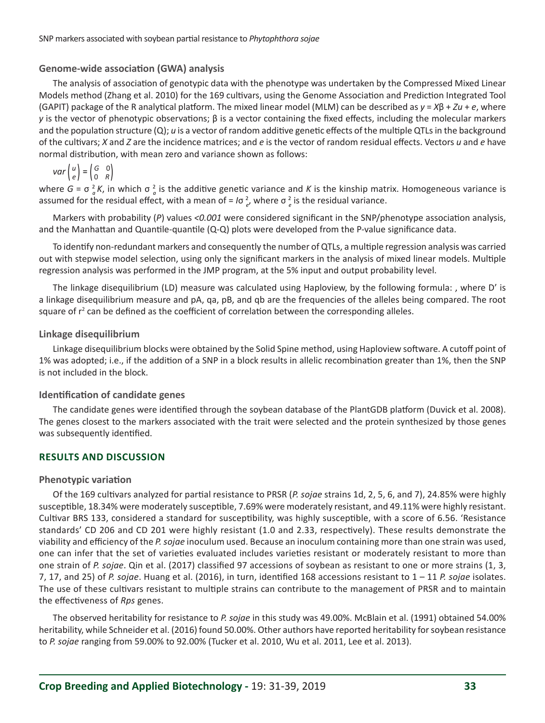# **Genome-wide association (GWA) analysis**

The analysis of association of genotypic data with the phenotype was undertaken by the Compressed Mixed Linear Models method (Zhang et al. 2010) for the 169 cultivars, using the Genome Association and Prediction Integrated Tool (GAPIT) package of the R analytical platform. The mixed linear model (MLM) can be described as *y* = *X*β + *Zu* + *e*, where *y* is the vector of phenotypic observations; β is a vector containing the fixed effects, including the molecular markers and the population structure (Q); *u* is a vector of random additive genetic effects of the multiple QTLs in the background of the cultivars; *X* and *Z* are the incidence matrices; and *e* is the vector of random residual effects. Vectors *u* and *e* have normal distribution, with mean zero and variance shown as follows:

 $var\begin{pmatrix} u \\ e \end{pmatrix} = \begin{pmatrix} G & 0 \\ 0 & R \end{pmatrix}$ 

where  $G = \sigma \frac{2}{a}K$ , in which  $\sigma \frac{2}{a}$  is the additive genetic variance and K is the kinship matrix. Homogeneous variance is assumed for the residual effect, with a mean of = *I*σ<sup>2</sup><sub>e</sub>, where σ<sup>2</sup><sub>e</sub> is the residual variance.

Markers with probability (*P*) values *<0.001* were considered significant in the SNP/phenotype association analysis, and the Manhattan and Quantile-quantile (Q-Q) plots were developed from the P-value significance data.

To identify non-redundant markers and consequently the number of QTLs, a multiple regression analysis was carried out with stepwise model selection, using only the significant markers in the analysis of mixed linear models. Multiple regression analysis was performed in the JMP program, at the 5% input and output probability level.

The linkage disequilibrium (LD) measure was calculated using Haploview, by the following formula: , where D' is a linkage disequilibrium measure and pA, qa, pB, and qb are the frequencies of the alleles being compared. The root square of  $r^2$  can be defined as the coefficient of correlation between the corresponding alleles.

# **Linkage disequilibrium**

Linkage disequilibrium blocks were obtained by the Solid Spine method, using Haploview software. A cutoff point of 1% was adopted; i.e., if the addition of a SNP in a block results in allelic recombination greater than 1%, then the SNP is not included in the block.

# **Identification of candidate genes**

The candidate genes were identified through the soybean database of the PlantGDB platform (Duvick et al. 2008). The genes closest to the markers associated with the trait were selected and the protein synthesized by those genes was subsequently identified.

# **RESULTS AND DISCUSSION**

# **Phenotypic variation**

Of the 169 cultivars analyzed for partial resistance to PRSR (*P. sojae* strains 1d, 2, 5, 6, and 7), 24.85% were highly susceptible, 18.34% were moderately susceptible, 7.69% were moderately resistant, and 49.11% were highly resistant. Cultivar BRS 133, considered a standard for susceptibility, was highly susceptible, with a score of 6.56. 'Resistance standards' CD 206 and CD 201 were highly resistant (1.0 and 2.33, respectively). These results demonstrate the viability and efficiency of the *P. sojae* inoculum used. Because an inoculum containing more than one strain was used, one can infer that the set of varieties evaluated includes varieties resistant or moderately resistant to more than one strain of *P. sojae*. Qin et al. (2017) classified 97 accessions of soybean as resistant to one or more strains (1, 3, 7, 17, and 25) of *P. sojae*. Huang et al. (2016), in turn, identified 168 accessions resistant to 1 – 11 *P. sojae* isolates. The use of these cultivars resistant to multiple strains can contribute to the management of PRSR and to maintain the effectiveness of *Rps* genes.

The observed heritability for resistance to *P. sojae* in this study was 49.00%. McBlain et al. (1991) obtained 54.00% heritability, while Schneider et al. (2016) found 50.00%. Other authors have reported heritability for soybean resistance to *P. sojae* ranging from 59.00% to 92.00% (Tucker et al. 2010, Wu et al. 2011, Lee et al. 2013).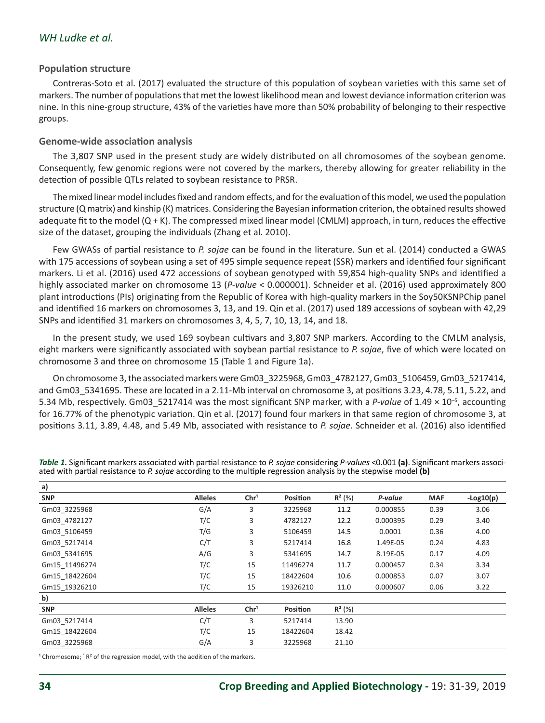## **Population structure**

Contreras-Soto et al. (2017) evaluated the structure of this population of soybean varieties with this same set of markers. The number of populations that met the lowest likelihood mean and lowest deviance information criterion was nine. In this nine-group structure, 43% of the varieties have more than 50% probability of belonging to their respective groups.

## **Genome-wide association analysis**

The 3,807 SNP used in the present study are widely distributed on all chromosomes of the soybean genome. Consequently, few genomic regions were not covered by the markers, thereby allowing for greater reliability in the detection of possible QTLs related to soybean resistance to PRSR.

The mixed linear model includes fixed and random effects, and for the evaluation of this model, we used the population structure (Q matrix) and kinship (K) matrices. Considering the Bayesian information criterion, the obtained results showed adequate fit to the model (Q + K). The compressed mixed linear model (CMLM) approach, in turn, reduces the effective size of the dataset, grouping the individuals (Zhang et al. 2010).

Few GWASs of partial resistance to *P. sojae* can be found in the literature. Sun et al. (2014) conducted a GWAS with 175 accessions of soybean using a set of 495 simple sequence repeat (SSR) markers and identified four significant markers. Li et al. (2016) used 472 accessions of soybean genotyped with 59,854 high-quality SNPs and identified a highly associated marker on chromosome 13 (*P-value* < 0.000001). Schneider et al. (2016) used approximately 800 plant introductions (PIs) originating from the Republic of Korea with high-quality markers in the Soy50KSNPChip panel and identified 16 markers on chromosomes 3, 13, and 19. Qin et al. (2017) used 189 accessions of soybean with 42,29 SNPs and identified 31 markers on chromosomes 3, 4, 5, 7, 10, 13, 14, and 18.

In the present study, we used 169 soybean cultivars and 3,807 SNP markers. According to the CMLM analysis, eight markers were significantly associated with soybean partial resistance to *P. sojae*, five of which were located on chromosome 3 and three on chromosome 15 (Table 1 and Figure 1a).

On chromosome 3, the associated markers were Gm03\_3225968, Gm03\_4782127, Gm03\_5106459, Gm03\_5217414, and Gm03\_5341695. These are located in a 2.11-Mb interval on chromosome 3, at positions 3.23, 4.78, 5.11, 5.22, and 5.34 Mb, respectively. Gm03\_5217414 was the most significant SNP marker, with a *P-value* of 1.49 × 10–5, accounting for 16.77% of the phenotypic variation. Qin et al. (2017) found four markers in that same region of chromosome 3, at positions 3.11, 3.89, 4.48, and 5.49 Mb, associated with resistance to *P. sojae*. Schneider et al. (2016) also identified

| a)            |                |                  |                 |           |          |            |             |
|---------------|----------------|------------------|-----------------|-----------|----------|------------|-------------|
| <b>SNP</b>    | <b>Alleles</b> | Chr <sup>1</sup> | <b>Position</b> | $R^2$ (%) | P-value  | <b>MAF</b> | $-Log10(p)$ |
| Gm03_3225968  | G/A            | 3                | 3225968         | 11.2      | 0.000855 | 0.39       | 3.06        |
| Gm03 4782127  | T/C            | 3                | 4782127         | 12.2      | 0.000395 | 0.29       | 3.40        |
| Gm03 5106459  | T/G            | 3                | 5106459         | 14.5      | 0.0001   | 0.36       | 4.00        |
| Gm03 5217414  | C/T            | 3                | 5217414         | 16.8      | 1.49E-05 | 0.24       | 4.83        |
| Gm03 5341695  | A/G            | 3                | 5341695         | 14.7      | 8.19E-05 | 0.17       | 4.09        |
| Gm15 11496274 | T/C            | 15               | 11496274        | 11.7      | 0.000457 | 0.34       | 3.34        |
| Gm15 18422604 | T/C            | 15               | 18422604        | 10.6      | 0.000853 | 0.07       | 3.07        |
| Gm15 19326210 | T/C            | 15               | 19326210        | 11.0      | 0.000607 | 0.06       | 3.22        |
| b)            |                |                  |                 |           |          |            |             |
| <b>SNP</b>    | <b>Alleles</b> | Chr <sup>1</sup> | <b>Position</b> | $R^2$ (%) |          |            |             |
| Gm03 5217414  | C/T            | 3                | 5217414         | 13.90     |          |            |             |
| Gm15 18422604 | T/C            | 15               | 18422604        | 18.42     |          |            |             |
| Gm03 3225968  | G/A            | 3                | 3225968         | 21.10     |          |            |             |

*Table 1.* Significant markers associated with partial resistance to *P. sojae* considering *P-values* <0.001 **(a)**. Significant markers associated with partial resistance to *P. sojae* according to the multiple regression analysis by the stepwise model **(b)**

<sup>1</sup> Chromosome; <sup>2</sup> R<sup>2</sup> of the regression model, with the addition of the markers.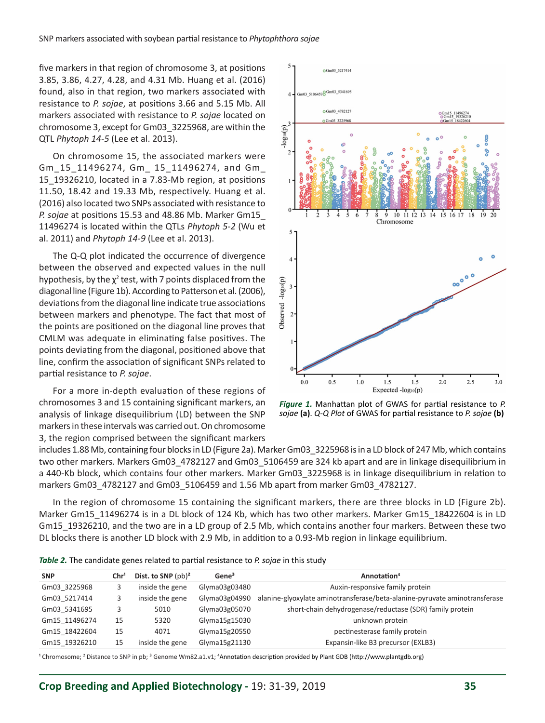five markers in that region of chromosome 3, at positions 3.85, 3.86, 4.27, 4.28, and 4.31 Mb. Huang et al. (2016) found, also in that region, two markers associated with resistance to *P. sojae*, at positions 3.66 and 5.15 Mb. All markers associated with resistance to *P. sojae* located on chromosome 3, except for Gm03\_3225968, are within the QTL *Phytoph 14-5* (Lee et al. 2013).

On chromosome 15, the associated markers were Gm\_15\_11496274, Gm\_ 15\_11496274, and Gm\_ 15\_19326210, located in a 7.83-Mb region, at positions 11.50, 18.42 and 19.33 Mb, respectively. Huang et al. (2016) also located two SNPs associated with resistance to *P. sojae* at positions 15.53 and 48.86 Mb. Marker Gm15\_ 11496274 is located within the QTLs *Phytoph 5-2* (Wu et al. 2011) and *Phytoph 14-9* (Lee et al. 2013).

The Q-Q plot indicated the occurrence of divergence between the observed and expected values in the null hypothesis, by the  $\chi^2$  test, with 7 points displaced from the diagonal line (Figure 1b). According to Patterson et al. (2006), deviations from the diagonal line indicate true associations between markers and phenotype. The fact that most of the points are positioned on the diagonal line proves that CMLM was adequate in eliminating false positives. The points deviating from the diagonal, positioned above that line, confirm the association of significant SNPs related to partial resistance to *P. sojae*.

For a more in-depth evaluation of these regions of chromosomes 3 and 15 containing significant markers, an analysis of linkage disequilibrium (LD) between the SNP markers in these intervals was carried out. On chromosome 3, the region comprised between the significant markers



*Figure 1.* Manhattan plot of GWAS for partial resistance to *P. sojae* **(a)**. *Q-Q Plot* of GWAS for partial resistance to *P. sojae* **(b)**

includes 1.88 Mb, containing four blocks in LD (Figure 2a). Marker Gm03\_3225968 is in a LD block of 247 Mb, which contains two other markers. Markers Gm03\_4782127 and Gm03\_5106459 are 324 kb apart and are in linkage disequilibrium in a 440-Kb block, which contains four other markers. Marker Gm03\_3225968 is in linkage disequilibrium in relation to markers Gm03\_4782127 and Gm03\_5106459 and 1.56 Mb apart from marker Gm03\_4782127.

In the region of chromosome 15 containing the significant markers, there are three blocks in LD (Figure 2b). Marker Gm15 11496274 is in a DL block of 124 Kb, which has two other markers. Marker Gm15 18422604 is in LD Gm15\_19326210, and the two are in a LD group of 2.5 Mb, which contains another four markers. Between these two DL blocks there is another LD block with 2.9 Mb, in addition to a 0.93-Mb region in linkage equilibrium.

| <b>SNP</b>    | Chr <sup>1</sup> | Dist. to SNP $(\text{pb})^2$ | Gene <sup>3</sup> | Annotation <sup>4</sup>                                                    |
|---------------|------------------|------------------------------|-------------------|----------------------------------------------------------------------------|
| Gm03 3225968  |                  | inside the gene              | Glyma03g03480     | Auxin-responsive family protein                                            |
| Gm03 5217414  |                  | inside the gene              | Glyma03g04990     | alanine-glyoxylate aminotransferase/beta-alanine-pyruvate aminotransferase |
| Gm03 5341695  |                  | 5010                         | Glyma03g05070     | short-chain dehydrogenase/reductase (SDR) family protein                   |
| Gm15 11496274 | 15               | 5320                         | Glyma15g15030     | unknown protein                                                            |
| Gm15 18422604 | 15               | 4071                         | Glyma15g20550     | pectinesterase family protein                                              |
| Gm15 19326210 | 15               | inside the gene              | Glyma15g21130     | Expansin-like B3 precursor (EXLB3)                                         |

<sup>1</sup> Chromosome; <sup>2</sup> Distance to SNP in pb; <sup>3</sup> Genome Wm82.a1.v1; <sup>4</sup>Annotation description provided by Plant GDB (http://www.plantgdb.org)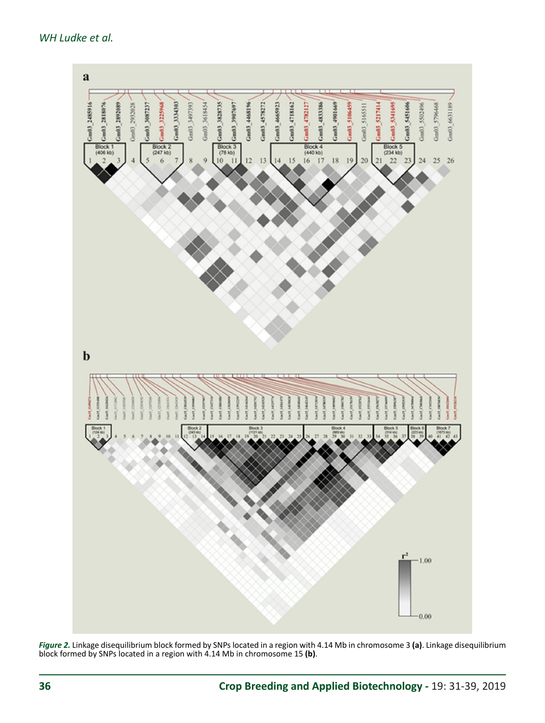

*Figure 2.* Linkage disequilibrium block formed by SNPs located in a region with 4.14 Mb in chromosome 3 **(a)**. Linkage disequilibrium block formed by SNPs located in a region with 4.14 Mb in chromosome 15 **(b)**.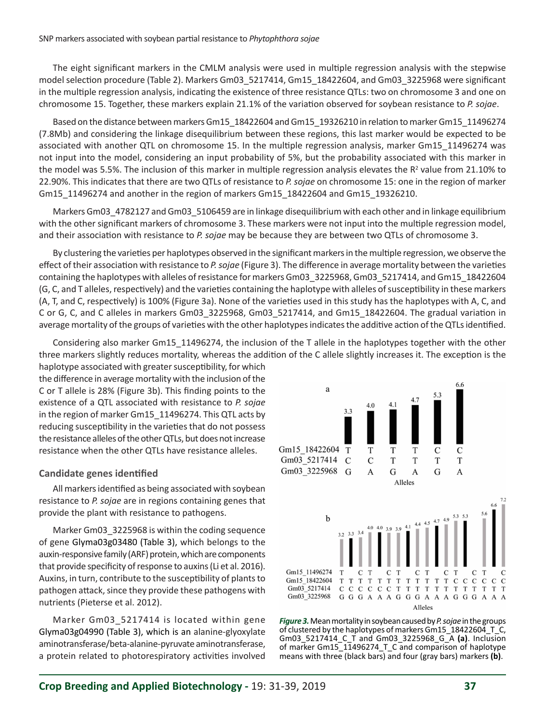The eight significant markers in the CMLM analysis were used in multiple regression analysis with the stepwise model selection procedure (Table 2). Markers Gm03\_5217414, Gm15\_18422604, and Gm03\_3225968 were significant in the multiple regression analysis, indicating the existence of three resistance QTLs: two on chromosome 3 and one on chromosome 15. Together, these markers explain 21.1% of the variation observed for soybean resistance to *P. sojae*.

Based on the distance between markers Gm15\_18422604 and Gm15\_19326210 in relation to marker Gm15\_11496274 (7.8Mb) and considering the linkage disequilibrium between these regions, this last marker would be expected to be associated with another QTL on chromosome 15. In the multiple regression analysis, marker Gm15\_11496274 was not input into the model, considering an input probability of 5%, but the probability associated with this marker in the model was 5.5%. The inclusion of this marker in multiple regression analysis elevates the  $R^2$  value from 21.10% to 22.90%. This indicates that there are two QTLs of resistance to *P. sojae* on chromosome 15: one in the region of marker Gm15\_11496274 and another in the region of markers Gm15\_18422604 and Gm15\_19326210.

Markers Gm03 4782127 and Gm03 5106459 are in linkage disequilibrium with each other and in linkage equilibrium with the other significant markers of chromosome 3. These markers were not input into the multiple regression model, and their association with resistance to *P. sojae* may be because they are between two QTLs of chromosome 3.

By clustering the varieties per haplotypes observed in the significant markers in the multiple regression, we observe the effect of their association with resistance to *P. sojae* (Figure 3). The difference in average mortality between the varieties containing the haplotypes with alleles of resistance for markers Gm03\_3225968, Gm03\_5217414, and Gm15\_18422604 (G, C, and T alleles, respectively) and the varieties containing the haplotype with alleles of susceptibility in these markers (A, T, and C, respectively) is 100% (Figure 3a). None of the varieties used in this study has the haplotypes with A, C, and C or G, C, and C alleles in markers Gm03\_3225968, Gm03\_5217414, and Gm15\_18422604. The gradual variation in average mortality of the groups of varieties with the other haplotypes indicates the additive action of the QTLs identified.

Considering also marker Gm15\_11496274, the inclusion of the T allele in the haplotypes together with the other three markers slightly reduces mortality, whereas the addition of the C allele slightly increases it. The exception is the

haplotype associated with greater susceptibility, for which the difference in average mortality with the inclusion of the C or T allele is 28% (Figure 3b). This finding points to the existence of a QTL associated with resistance to *P. sojae* in the region of marker Gm15\_11496274. This QTL acts by reducing susceptibility in the varieties that do not possess the resistance alleles of the other QTLs, but does not increase resistance when the other QTLs have resistance alleles.

# **Candidate genes identified**

All markers identified as being associated with soybean resistance to *P. sojae* are in regions containing genes that provide the plant with resistance to pathogens.

Marker Gm03\_3225968 is within the coding sequence of gene Glyma03g03480 (Table 3), which belongs to the auxin-responsive family (ARF) protein, which are components that provide specificity of response to auxins (Li et al. 2016). Auxins, in turn, contribute to the susceptibility of plants to pathogen attack, since they provide these pathogens with nutrients (Pieterse et al. 2012).

Marker Gm03\_5217414 is located within gene Glyma03g04990 (Table 3), which is an alanine-glyoxylate aminotransferase/beta-alanine-pyruvate aminotransferase, a protein related to photorespiratory activities involved



*Figure 3.*Mean mortality in soybean caused by *P. sojae* in the groups of clustered by the haplotypes of markers Gm15\_18422604\_T\_C, Gm03\_5217414\_C\_T and Gm03\_3225968\_G\_A **(a)**. Inclusion of marker Gm15\_11496274\_T\_C and comparison of haplotype means with three (black bars) and four (gray bars) markers **(b)**.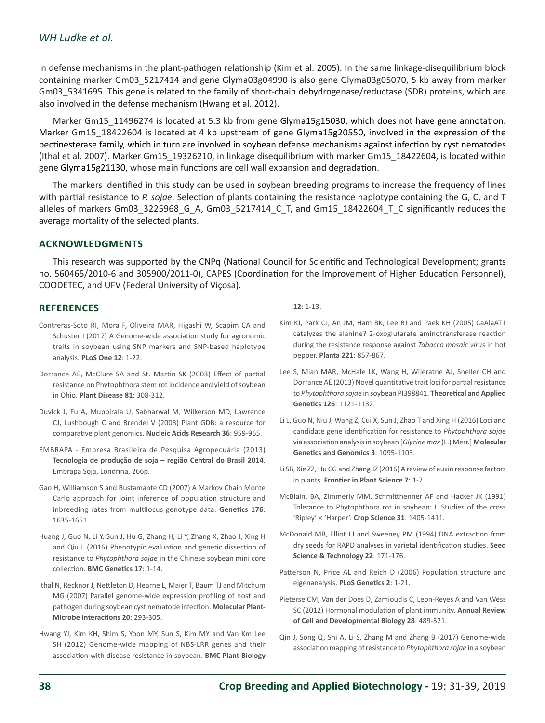in defense mechanisms in the plant-pathogen relationship (Kim et al. 2005). In the same linkage-disequilibrium block containing marker Gm03\_5217414 and gene Glyma03g04990 is also gene Glyma03g05070, 5 kb away from marker Gm03\_5341695. This gene is related to the family of short-chain dehydrogenase/reductase (SDR) proteins, which are also involved in the defense mechanism (Hwang et al. 2012).

Marker Gm15\_11496274 is located at 5.3 kb from gene Glyma15g15030, which does not have gene annotation. Marker Gm15\_18422604 is located at 4 kb upstream of gene Glyma15g20550, involved in the expression of the pectinesterase family, which in turn are involved in soybean defense mechanisms against infection by cyst nematodes (Ithal et al. 2007). Marker Gm15\_19326210, in linkage disequilibrium with marker Gm15\_18422604, is located within gene Glyma15g21130, whose main functions are cell wall expansion and degradation.

The markers identified in this study can be used in soybean breeding programs to increase the frequency of lines with partial resistance to *P. sojae*. Selection of plants containing the resistance haplotype containing the G, C, and T alleles of markers Gm03\_3225968\_G\_A, Gm03\_5217414\_C\_T, and Gm15\_18422604\_T\_C significantly reduces the average mortality of the selected plants.

## **ACKNOWLEDGMENTS**

This research was supported by the CNPq (National Council for Scientific and Technological Development; grants no. 560465/2010-6 and 305900/2011-0), CAPES (Coordination for the Improvement of Higher Education Personnel), COODETEC, and UFV (Federal University of Viçosa).

## **REFERENCES**

- Contreras-Soto RI, Mora F, Oliveira MAR, Higashi W, Scapim CA and Schuster I (2017) A Genome-wide association study for agronomic traits in soybean using SNP markers and SNP-based haplotype analysis. **PLoS One 12**: 1-22.
- Dorrance AE, McClure SA and St. Martin SK (2003) Effect of partial resistance on Phytophthora stem rot incidence and yield of soybean in Ohio. **Plant Disease 81**: 308-312.
- Duvick J, Fu A, Muppirala U, Sabharwal M, Wilkerson MD, Lawrence CJ, Lushbough C and Brendel V (2008) Plant GDB: a resource for comparative plant genomics. **Nucleic Acids Research 36**: 959-965.
- EMBRAPA Empresa Brasileira de Pesquisa Agropecuária (2013) **Tecnologia de produção de soja – região Central do Brasil 2014**. Embrapa Soja, Londrina, 266p.
- Gao H, Williamson S and Bustamante CD (2007) A Markov Chain Monte Carlo approach for joint inference of population structure and inbreeding rates from multilocus genotype data. **Genetics 176**: 1635-1651.
- Huang J, Guo N, Li Y, Sun J, Hu G, Zhang H, Li Y, Zhang X, Zhao J, Xing H and Qiu L (2016) Phenotypic evaluation and genetic dissection of resistance to *Phytophthora sojae* in the Chinese soybean mini core collection. **BMC Genetics 17**: 1-14.
- Ithal N, Recknor J, Nettleton D, Hearne L, Maier T, Baum TJ and Mitchum MG (2007) Parallel genome-wide expression profiling of host and pathogen during soybean cyst nematode infection. **Molecular Plant-Microbe Interactions 20**: 293-305.
- Hwang YJ, Kim KH, Shim S, Yoon MY, Sun S, Kim MY and Van Km Lee SH (2012) Genome-wide mapping of NBS-LRR genes and their association with disease resistance in soybean. **BMC Plant Biology**

**12**: 1-13.

- Kim KJ, Park CJ, An JM, Ham BK, Lee BJ and Paek KH (2005) CaAlaAT1 catalyzes the alanine? 2-oxoglutarate aminotransferase reaction during the resistance response against *Tabacco mosaic vírus* in hot pepper. **Planta 221**: 857-867.
- Lee S, Mian MAR, McHale LK, Wang H, Wijeratne AJ, Sneller CH and Dorrance AE (2013) Novel quantitative trait loci for partial resistance to *Phytophthora sojae* in soybean PI398841. **Theoretical and Applied Genetics 126**: 1121-1132.
- Li L, Guo N, Niu J, Wang Z, Cui X, Sun J, Zhao T and Xing H (2016) Loci and candidate gene identification for resistance to *Phytophthora sojae*  via association analysis in soybean [*Glycine max* (L.) Merr.] **Molecular Genetics and Genomics 3**: 1095-1103.
- Li SB, Xie ZZ, Hu CG and Zhang JZ (2016) A review of auxin response factors in plants. **Frontier in Plant Science 7**: 1-7.
- McBlain, BA, Zimmerly MM, Schmitthenner AF and Hacker JK (1991) Tolerance to Phytophthora rot in soybean: I. Studies of the cross 'Ripley' × 'Harper'. **Crop Science 31**: 1405-1411.
- McDonald MB, Elliot LJ and Sweeney PM (1994) DNA extraction from dry seeds for RAPD analyses in varietal identification studies. **Seed Science & Technology 22**: 171-176.
- Patterson N, Price AL and Reich D (2006) Population structure and eigenanalysis. **PLoS Genetics 2**: 1-21.
- Pieterse CM, Van der Does D, Zamioudis C, Leon-Reyes A and Van Wess SC (2012) Hormonal modulation of plant immunity. **Annual Review of Cell and Developmental Biology 28**: 489-521.
- Qin J, Song Q, Shi A, Li S, Zhang M and Zhang B (2017) Genome-wide association mapping of resistance to *Phytophthora sojae* in a soybean